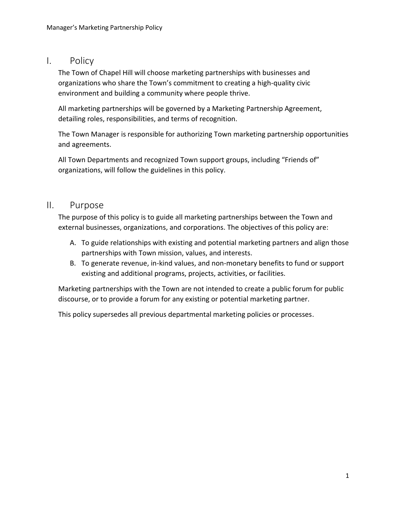### I. Policy

The Town of Chapel Hill will choose marketing partnerships with businesses and organizations who share the Town's commitment to creating a high-quality civic environment and building a community where people thrive.

All marketing partnerships will be governed by a Marketing Partnership Agreement, detailing roles, responsibilities, and terms of recognition.

The Town Manager is responsible for authorizing Town marketing partnership opportunities and agreements.

All Town Departments and recognized Town support groups, including "Friends of" organizations, will follow the guidelines in this policy.

### II. Purpose

The purpose of this policy is to guide all marketing partnerships between the Town and external businesses, organizations, and corporations. The objectives of this policy are:

- A. To guide relationships with existing and potential marketing partners and align those partnerships with Town mission, values, and interests.
- B. To generate revenue, in-kind values, and non-monetary benefits to fund or support existing and additional programs, projects, activities, or facilities.

Marketing partnerships with the Town are not intended to create a public forum for public discourse, or to provide a forum for any existing or potential marketing partner.

This policy supersedes all previous departmental marketing policies or processes.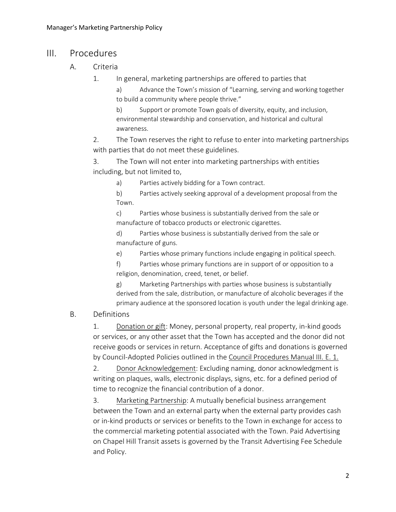## III. Procedures

- A. Criteria
	- 1. In general, marketing partnerships are offered to parties that

a) Advance the Town's mission of "Learning, serving and working together to build a community where people thrive."

b) Support or promote Town goals of diversity, equity, and inclusion, environmental stewardship and conservation, and historical and cultural awareness.

2. The Town reserves the right to refuse to enter into marketing partnerships with parties that do not meet these guidelines.

3. The Town will not enter into marketing partnerships with entities including, but not limited to,

a) Parties actively bidding for a Town contract.

b) Parties actively seeking approval of a development proposal from the Town.

c) Parties whose business is substantially derived from the sale or manufacture of tobacco products or electronic cigarettes.

d) Parties whose business is substantially derived from the sale or manufacture of guns.

e) Parties whose primary functions include engaging in political speech.

f) Parties whose primary functions are in support of or opposition to a religion, denomination, creed, tenet, or belief.

g) Marketing Partnerships with parties whose business is substantially derived from the sale, distribution, or manufacture of alcoholic beverages if the primary audience at the sponsored location is youth under the legal drinking age.

#### B. Definitions

1. Donation or gift: Money, personal property, real property, in-kind goods or services, or any other asset that the Town has accepted and the donor did not receive goods or services in return. Acceptance of gifts and donations is governed by Council-Adopted Policies outlined in th[e Council Procedures Manual III. E. 1.](https://www.townofchapelhill.org/government/mayor-and-council/mayor-council/council-procedures-manual)

2. Donor Acknowledgement: Excluding naming, donor acknowledgment is writing on plaques, walls, electronic displays, signs, etc. for a defined period of time to recognize the financial contribution of a donor.

3. Marketing Partnership: A mutually beneficial business arrangement between the Town and an external party when the external party provides cash or in-kind products or services or benefits to the Town in exchange for access to the commercial marketing potential associated with the Town. Paid Advertising on Chapel Hill Transit assets is governed by the Transit Advertising Fee Schedule and Policy.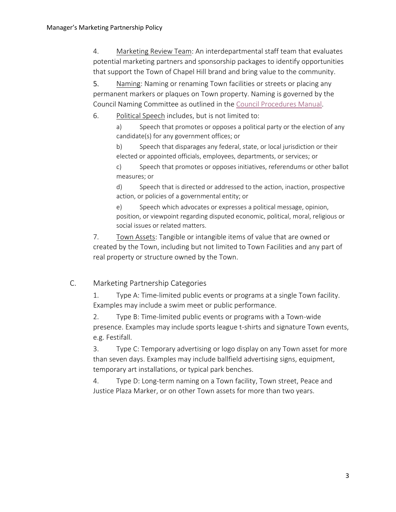4. Marketing Review Team: An interdepartmental staff team that evaluates potential marketing partners and sponsorship packages to identify opportunities that support the Town of Chapel Hill brand and bring value to the community.

5. Naming: Naming or renaming Town facilities or streets or placing any permanent markers or plaques on Town property. Naming is governed by the Council Naming Committee as outlined in the [Council Procedures Manual.](https://www.townofchapelhill.org/government/mayor-and-council/mayor-council/council-procedures-manual)

6. Political Speech includes, but is not limited to:

a) Speech that promotes or opposes a political party or the election of any candidate(s) for any government offices; or

b) Speech that disparages any federal, state, or local jurisdiction or their elected or appointed officials, employees, departments, or services; or

c) Speech that promotes or opposes initiatives, referendums or other ballot measures; or

d) Speech that is directed or addressed to the action, inaction, prospective action, or policies of a governmental entity; or

e) Speech which advocates or expresses a political message, opinion, position, or viewpoint regarding disputed economic, political, moral, religious or social issues or related matters.

7. Town Assets: Tangible or intangible items of value that are owned or created by the Town, including but not limited to Town Facilities and any part of real property or structure owned by the Town.

### C. Marketing Partnership Categories

1. Type A: Time-limited public events or programs at a single Town facility. Examples may include a swim meet or public performance.

2. Type B: Time-limited public events or programs with a Town-wide presence. Examples may include sports league t-shirts and signature Town events, e.g. Festifall.

3. Type C: Temporary advertising or logo display on any Town asset for more than seven days. Examples may include ballfield advertising signs, equipment, temporary art installations, or typical park benches.

4. Type D: Long-term naming on a Town facility, Town street, Peace and Justice Plaza Marker, or on other Town assets for more than two years.